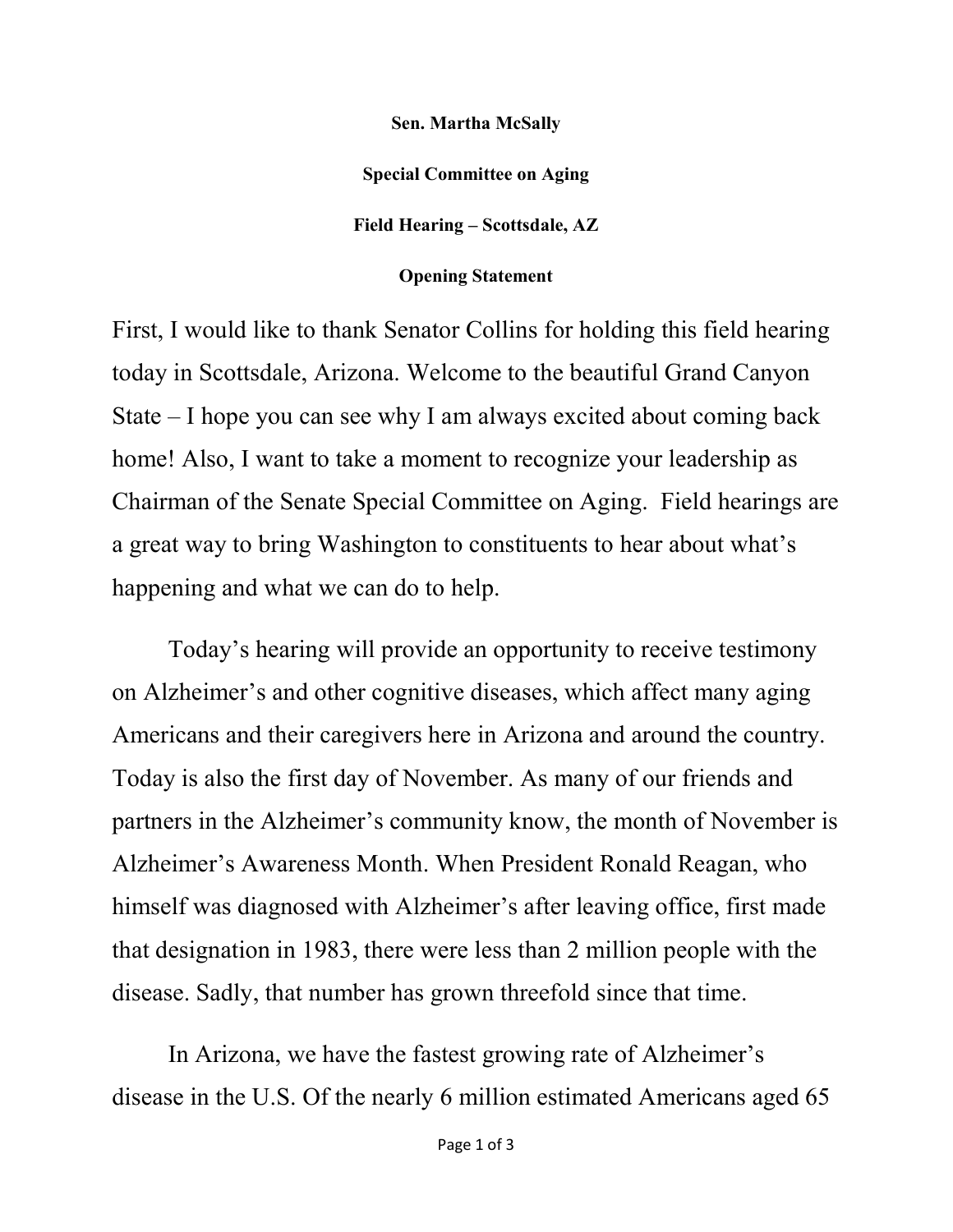Sen. Martha McSally Special Committee on Aging Field Hearing – Scottsdale, AZ

Opening Statement

First, I would like to thank Senator Collins for holding this field hearing today in Scottsdale, Arizona. Welcome to the beautiful Grand Canyon State – I hope you can see why I am always excited about coming back home! Also, I want to take a moment to recognize your leadership as Chairman of the Senate Special Committee on Aging. Field hearings are a great way to bring Washington to constituents to hear about what's happening and what we can do to help.

Today's hearing will provide an opportunity to receive testimony on Alzheimer's and other cognitive diseases, which affect many aging Americans and their caregivers here in Arizona and around the country. Today is also the first day of November. As many of our friends and partners in the Alzheimer's community know, the month of November is Alzheimer's Awareness Month. When President Ronald Reagan, who himself was diagnosed with Alzheimer's after leaving office, first made that designation in 1983, there were less than 2 million people with the disease. Sadly, that number has grown threefold since that time.

In Arizona, we have the fastest growing rate of Alzheimer's disease in the U.S. Of the nearly 6 million estimated Americans aged 65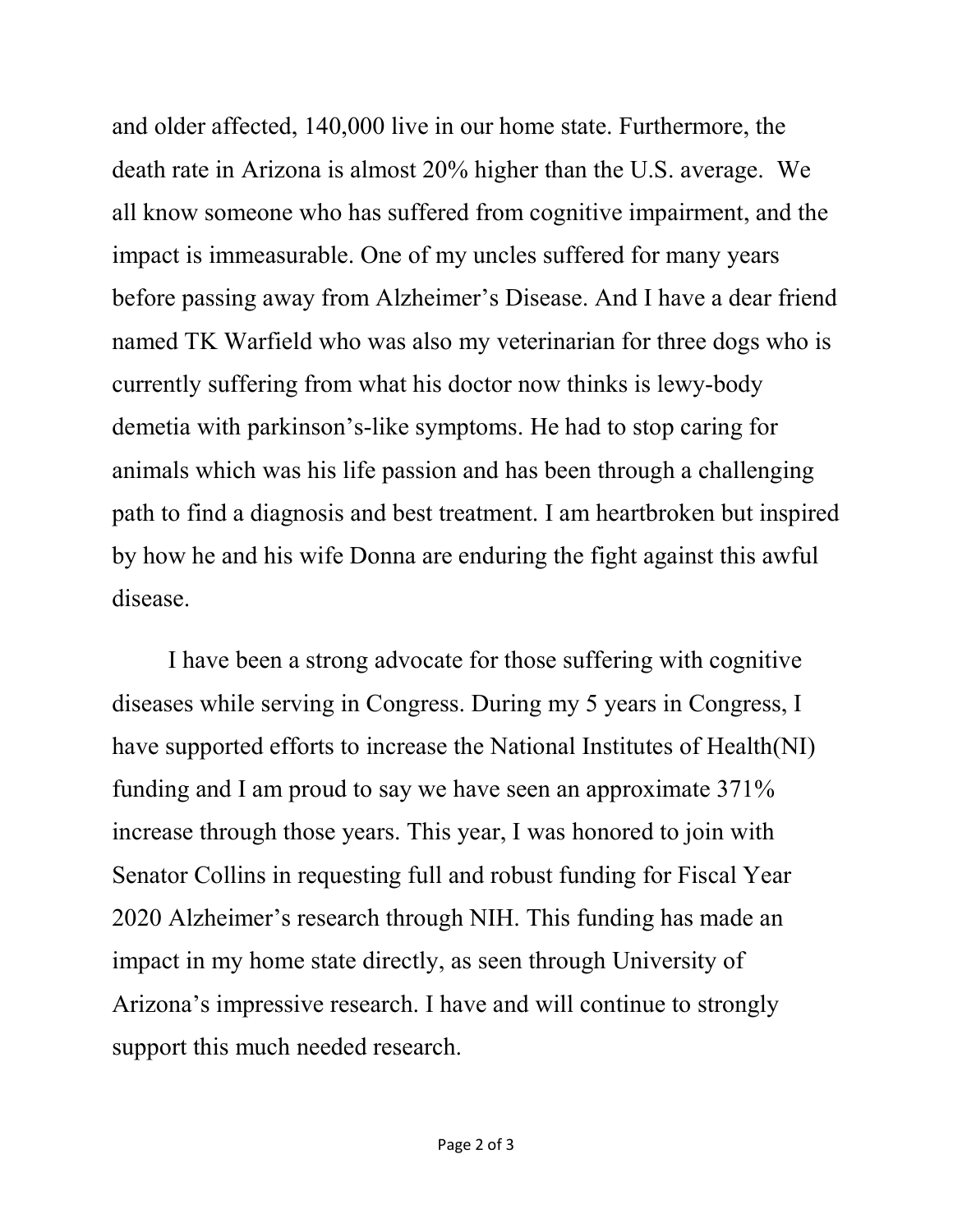and older affected, 140,000 live in our home state. Furthermore, the death rate in Arizona is almost 20% higher than the U.S. average. We all know someone who has suffered from cognitive impairment, and the impact is immeasurable. One of my uncles suffered for many years before passing away from Alzheimer's Disease. And I have a dear friend named TK Warfield who was also my veterinarian for three dogs who is currently suffering from what his doctor now thinks is lewy-body demetia with parkinson's-like symptoms. He had to stop caring for animals which was his life passion and has been through a challenging path to find a diagnosis and best treatment. I am heartbroken but inspired by how he and his wife Donna are enduring the fight against this awful disease.

I have been a strong advocate for those suffering with cognitive diseases while serving in Congress. During my 5 years in Congress, I have supported efforts to increase the National Institutes of Health(NI) funding and I am proud to say we have seen an approximate 371% increase through those years. This year, I was honored to join with Senator Collins in requesting full and robust funding for Fiscal Year 2020 Alzheimer's research through NIH. This funding has made an impact in my home state directly, as seen through University of Arizona's impressive research. I have and will continue to strongly support this much needed research.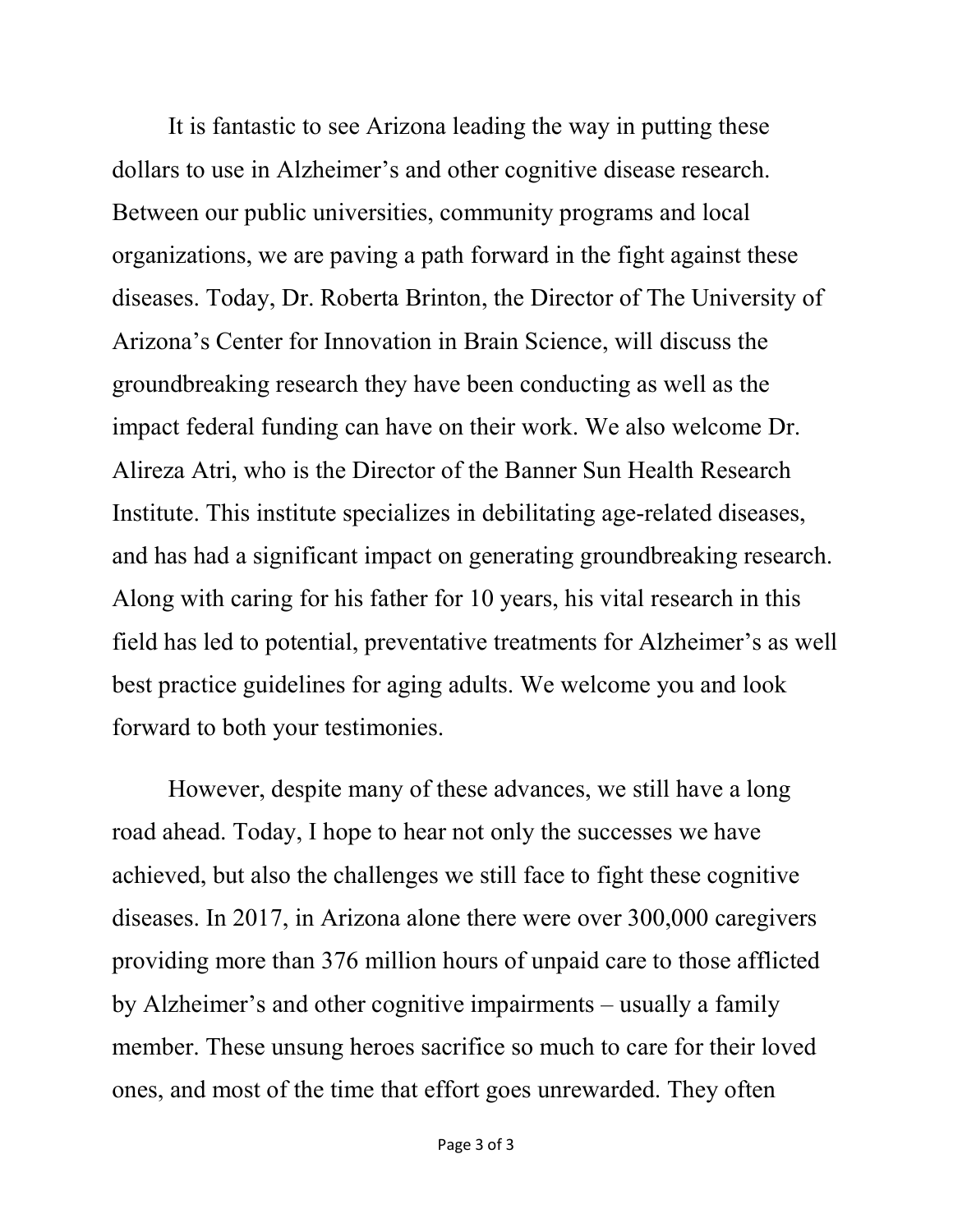It is fantastic to see Arizona leading the way in putting these dollars to use in Alzheimer's and other cognitive disease research. Between our public universities, community programs and local organizations, we are paving a path forward in the fight against these diseases. Today, Dr. Roberta Brinton, the Director of The University of Arizona's Center for Innovation in Brain Science, will discuss the groundbreaking research they have been conducting as well as the impact federal funding can have on their work. We also welcome Dr. Alireza Atri, who is the Director of the Banner Sun Health Research Institute. This institute specializes in debilitating age-related diseases, and has had a significant impact on generating groundbreaking research. Along with caring for his father for 10 years, his vital research in this field has led to potential, preventative treatments for Alzheimer's as well best practice guidelines for aging adults. We welcome you and look forward to both your testimonies.

However, despite many of these advances, we still have a long road ahead. Today, I hope to hear not only the successes we have achieved, but also the challenges we still face to fight these cognitive diseases. In 2017, in Arizona alone there were over 300,000 caregivers providing more than 376 million hours of unpaid care to those afflicted by Alzheimer's and other cognitive impairments – usually a family member. These unsung heroes sacrifice so much to care for their loved ones, and most of the time that effort goes unrewarded. They often